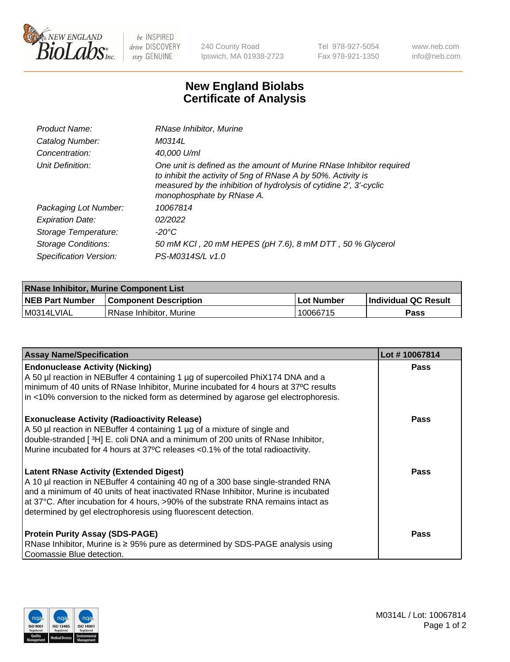

 $be$  INSPIRED drive DISCOVERY stay GENUINE

240 County Road Ipswich, MA 01938-2723 Tel 978-927-5054 Fax 978-921-1350 www.neb.com info@neb.com

## **New England Biolabs Certificate of Analysis**

| Product Name:           | RNase Inhibitor, Murine                                                                                                                                                                                                                  |
|-------------------------|------------------------------------------------------------------------------------------------------------------------------------------------------------------------------------------------------------------------------------------|
| Catalog Number:         | M0314L                                                                                                                                                                                                                                   |
| Concentration:          | 40,000 U/ml                                                                                                                                                                                                                              |
| Unit Definition:        | One unit is defined as the amount of Murine RNase Inhibitor required<br>to inhibit the activity of 5ng of RNase A by 50%. Activity is<br>measured by the inhibition of hydrolysis of cytidine 2', 3'-cyclic<br>monophosphate by RNase A. |
| Packaging Lot Number:   | 10067814                                                                                                                                                                                                                                 |
| <b>Expiration Date:</b> | 02/2022                                                                                                                                                                                                                                  |
| Storage Temperature:    | -20°C                                                                                                                                                                                                                                    |
| Storage Conditions:     | 50 mM KCI, 20 mM HEPES (pH 7.6), 8 mM DTT, 50 % Glycerol                                                                                                                                                                                 |
| Specification Version:  | PS-M0314S/L v1.0                                                                                                                                                                                                                         |

| <b>RNase Inhibitor, Murine Component List</b> |                              |            |                             |  |  |
|-----------------------------------------------|------------------------------|------------|-----------------------------|--|--|
| <b>NEB Part Number</b>                        | <b>Component Description</b> | Lot Number | <b>Individual QC Result</b> |  |  |
| M0314LVIAL                                    | RNase Inhibitor, Murine      | 10066715   | Pass                        |  |  |

| <b>Assay Name/Specification</b>                                                                                                                                                                                                                                                                                                                                                   | Lot #10067814 |
|-----------------------------------------------------------------------------------------------------------------------------------------------------------------------------------------------------------------------------------------------------------------------------------------------------------------------------------------------------------------------------------|---------------|
| <b>Endonuclease Activity (Nicking)</b><br>A 50 µl reaction in NEBuffer 4 containing 1 µg of supercoiled PhiX174 DNA and a<br>minimum of 40 units of RNase Inhibitor, Murine incubated for 4 hours at 37°C results<br>in <10% conversion to the nicked form as determined by agarose gel electrophoresis.                                                                          | Pass          |
| <b>Exonuclease Activity (Radioactivity Release)</b><br>A 50 µl reaction in NEBuffer 4 containing 1 µg of a mixture of single and<br>double-stranded [3H] E. coli DNA and a minimum of 200 units of RNase Inhibitor,<br>Murine incubated for 4 hours at 37°C releases <0.1% of the total radioactivity.                                                                            | <b>Pass</b>   |
| <b>Latent RNase Activity (Extended Digest)</b><br>A 10 µl reaction in NEBuffer 4 containing 40 ng of a 300 base single-stranded RNA<br>and a minimum of 40 units of heat inactivated RNase Inhibitor, Murine is incubated<br>at 37°C. After incubation for 4 hours, >90% of the substrate RNA remains intact as<br>determined by gel electrophoresis using fluorescent detection. | <b>Pass</b>   |
| <b>Protein Purity Assay (SDS-PAGE)</b><br>RNase Inhibitor, Murine is ≥ 95% pure as determined by SDS-PAGE analysis using<br>Coomassie Blue detection.                                                                                                                                                                                                                             | <b>Pass</b>   |